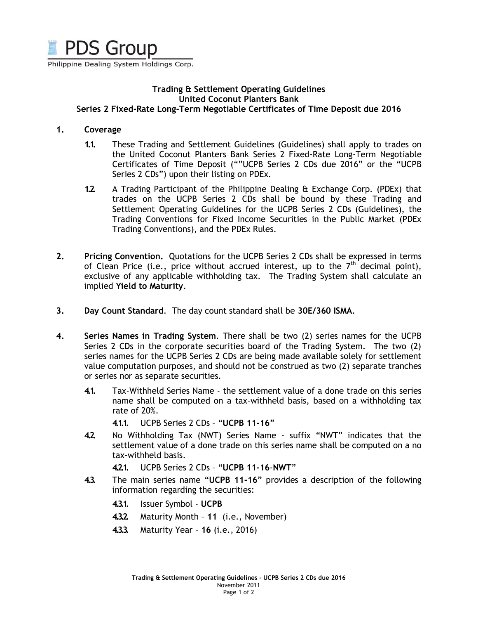

Philippine Dealing System Holdings Corp.

### Trading & Settlement Operating Guidelines United Coconut Planters Bank Series 2 Fixed-Rate Long-Term Negotiable Certificates of Time Deposit due 2016

#### 1. Coverage

- 1.1. These Trading and Settlement Guidelines (Guidelines) shall apply to trades on the United Coconut Planters Bank Series 2 Fixed-Rate Long-Term Negotiable Certificates of Time Deposit (""UCPB Series 2 CDs due 2016" or the "UCPB Series 2 CDs") upon their listing on PDEx.
- 1.2. A Trading Participant of the Philippine Dealing & Exchange Corp. (PDEx) that trades on the UCPB Series 2 CDs shall be bound by these Trading and Settlement Operating Guidelines for the UCPB Series 2 CDs (Guidelines), the Trading Conventions for Fixed Income Securities in the Public Market (PDEx Trading Conventions), and the PDEx Rules.
- 2. Pricing Convention. Quotations for the UCPB Series 2 CDs shall be expressed in terms of Clean Price (i.e., price without accrued interest, up to the  $7<sup>th</sup>$  decimal point), exclusive of any applicable withholding tax. The Trading System shall calculate an implied Yield to Maturity.
- 3. Day Count Standard. The day count standard shall be 30E/360 ISMA.
- 4. Series Names in Trading System. There shall be two (2) series names for the UCPB Series 2 CDs in the corporate securities board of the Trading System. The two (2) series names for the UCPB Series 2 CDs are being made available solely for settlement value computation purposes, and should not be construed as two (2) separate tranches or series nor as separate securities.
	- 4.1. Tax-Withheld Series Name the settlement value of a done trade on this series name shall be computed on a tax-withheld basis, based on a withholding tax rate of 20%.
		- 4.1.1. UCPB Series 2 CDs "UCPB 11-16"
	- 4.2. No Withholding Tax (NWT) Series Name suffix "NWT" indicates that the settlement value of a done trade on this series name shall be computed on a no tax-withheld basis.
		- 4.2.1. UCPB Series 2 CDs "UCPB 11-16-NWT"
	- 4.3. The main series name "UCPB 11-16" provides a description of the following information regarding the securities:
		- 4.3.1. Issuer Symbol UCPB
		- 4.3.2. Maturity Month 11 (i.e., November)
		- 4.3.3. Maturity Year 16 (i.e., 2016)